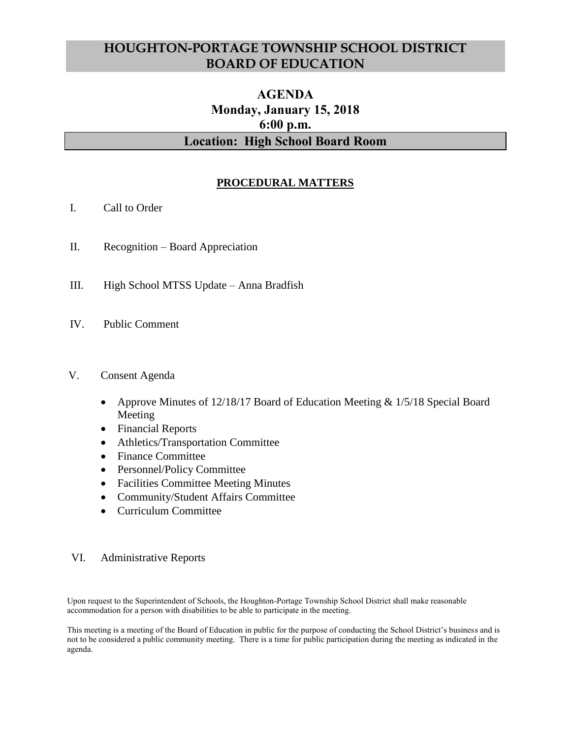# **HOUGHTON-PORTAGE TOWNSHIP SCHOOL DISTRICT BOARD OF EDUCATION**

## **AGENDA Monday, January 15, 2018 6:00 p.m. Location: High School Board Room**

## **PROCEDURAL MATTERS**

- I. Call to Order
- II. Recognition Board Appreciation
- III. High School MTSS Update Anna Bradfish
- IV. Public Comment

## V. Consent Agenda

- Approve Minutes of 12/18/17 Board of Education Meeting & 1/5/18 Special Board Meeting
- Financial Reports
- Athletics/Transportation Committee
- Finance Committee
- Personnel/Policy Committee
- Facilities Committee Meeting Minutes
- Community/Student Affairs Committee
- Curriculum Committee

## VI. Administrative Reports

Upon request to the Superintendent of Schools, the Houghton-Portage Township School District shall make reasonable accommodation for a person with disabilities to be able to participate in the meeting.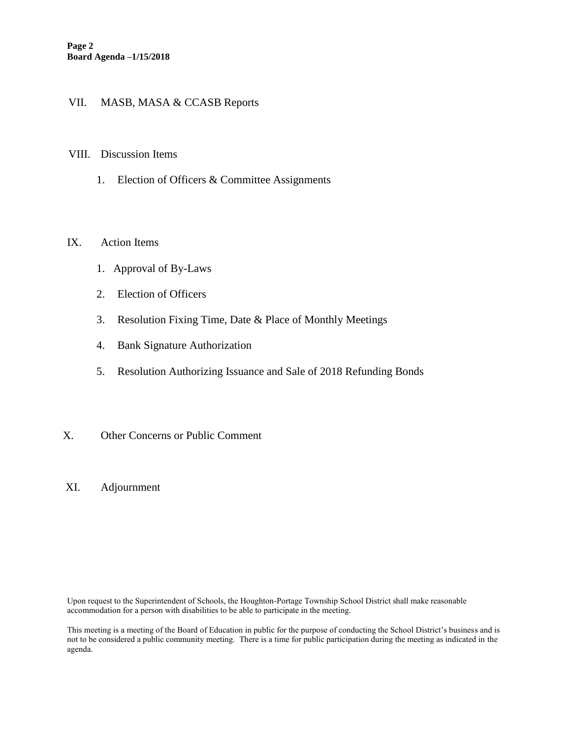## VII. MASB, MASA & CCASB Reports

#### VIII. Discussion Items

1. Election of Officers & Committee Assignments

#### IX. Action Items

- 1. Approval of By-Laws
- 2. Election of Officers
- 3. Resolution Fixing Time, Date & Place of Monthly Meetings
- 4. Bank Signature Authorization
- 5. Resolution Authorizing Issuance and Sale of 2018 Refunding Bonds

### X. Other Concerns or Public Comment

XI. Adjournment

Upon request to the Superintendent of Schools, the Houghton-Portage Township School District shall make reasonable accommodation for a person with disabilities to be able to participate in the meeting.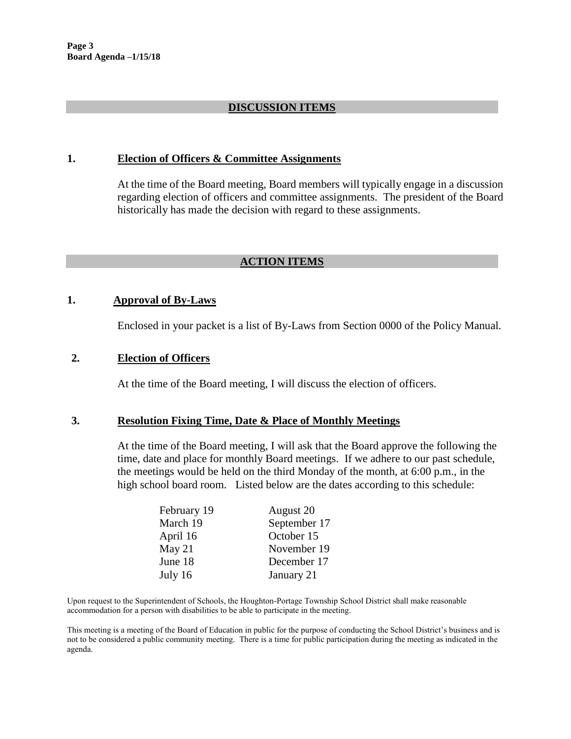## **DISCUSSION ITEMS**

#### **1. Election of Officers & Committee Assignments**

At the time of the Board meeting, Board members will typically engage in a discussion regarding election of officers and committee assignments. The president of the Board historically has made the decision with regard to these assignments.

## **ACTION ITEMS**

#### **1. Approval of By-Laws**

Enclosed in your packet is a list of By-Laws from Section 0000 of the Policy Manual.

#### **2. Election of Officers**

At the time of the Board meeting, I will discuss the election of officers.

#### **3. Resolution Fixing Time, Date & Place of Monthly Meetings**

At the time of the Board meeting, I will ask that the Board approve the following the time, date and place for monthly Board meetings. If we adhere to our past schedule, the meetings would be held on the third Monday of the month, at 6:00 p.m., in the high school board room. Listed below are the dates according to this schedule:

| February 19 | August 20    |
|-------------|--------------|
| March 19    | September 17 |
| April 16    | October 15   |
| May $21$    | November 19  |
| June 18     | December 17  |
| July 16     | January 21   |

Upon request to the Superintendent of Schools, the Houghton-Portage Township School District shall make reasonable accommodation for a person with disabilities to be able to participate in the meeting.